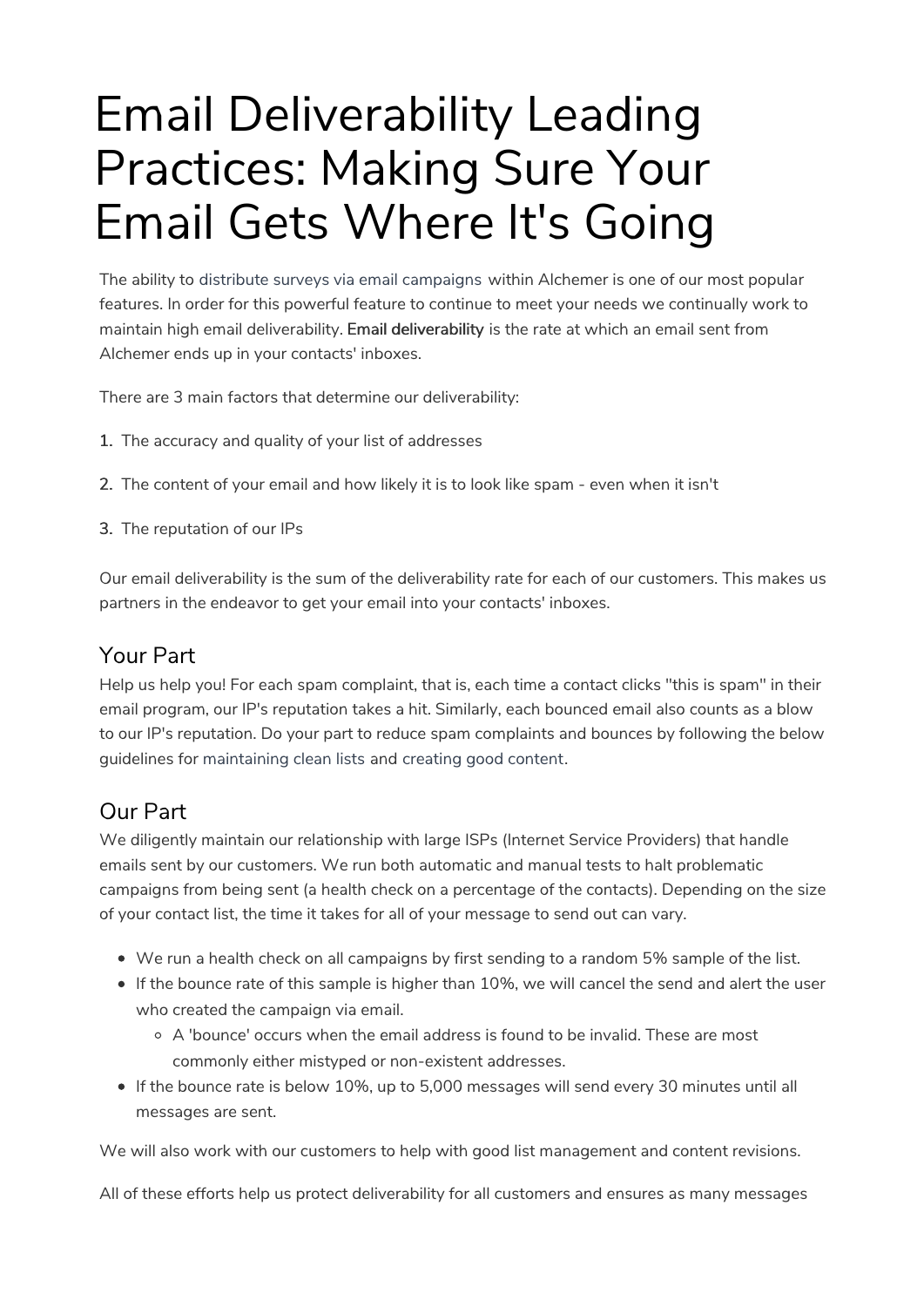# Email Deliverability Leading Practices: Making Sure Your Email Gets Where It's Going

The ability to distribute surveys via email campaigns within Alchemer is one of our most popular features. In order for this powerful feature to continue to meet your needs we continually work to maintain high email deliverability. Email deliverability is the rate at which an email sent from Alchemer ends up in your contacts' inboxes.

There are 3 main factors that determine our deliverability:

- 1. The accuracy and quality of your list of addresses
- 2. The content of your email and how likely it is to look like spam even when it isn't
- 3. The reputation of our IPs

Our email deliverability is the sum of the deliverability rate for each of our customers. This makes us partners in the endeavor to get your email into your contacts' inboxes.

### Your Part

Help us help you! For each spam complaint, that is, each time a contact clicks "this is spam" in their email program, our IP's reputation takes a hit. Similarly, each bounced email also counts as a blow to our IP's reputation. Do your part to reduce spam complaints and bounces by following the below guidelines for maintaining clean lists and creating good content.

### Our Part

We diligently maintain our relationship with large ISPs (Internet Service Providers) that handle emails sent by our customers. We run both automatic and manual tests to halt problematic campaigns from being sent (a health check on a percentage of the contacts). Depending on the size of your contact list, the time it takes for all of your message to send out can vary.

- We run a health check on all campaigns by first sending to a random 5% sample of the list.
- If the bounce rate of this sample is higher than 10%, we will cancel the send and alert the user who created the campaign via email.
	- $\circ$  A 'bounce' occurs when the email address is found to be invalid. These are most commonly either mistyped or non-existent addresses.
- If the bounce rate is below 10%, up to 5,000 messages will send every 30 minutes until all messages are sent.

We will also work with our customers to help with good list management and content revisions.

All of these efforts help us protect deliverability for all customers and ensures as many messages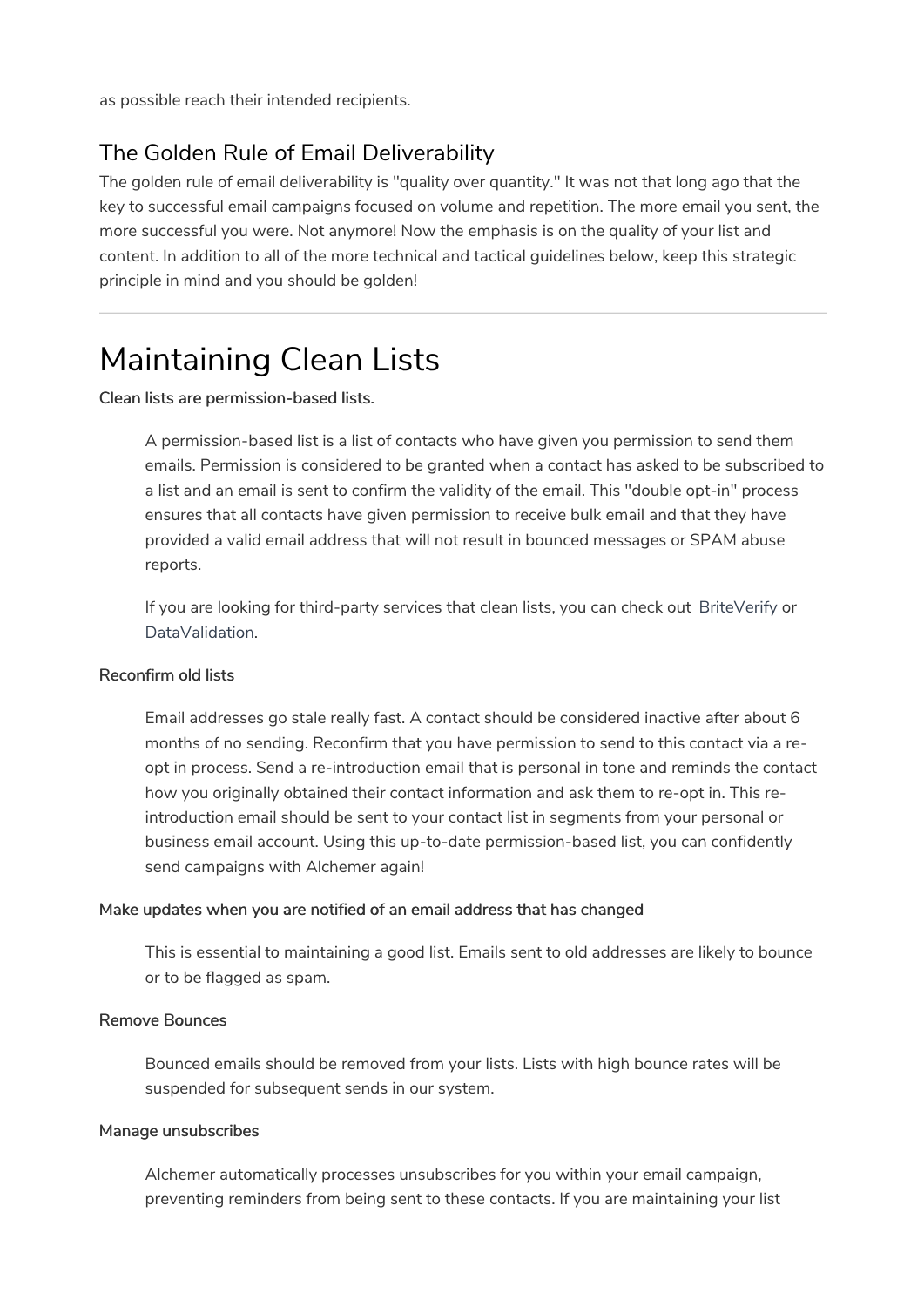as possible reach their intended recipients.

### The Golden Rule of Email Deliverability

The golden rule of email deliverability is "quality over quantity." It was not that long ago that the key to successful email campaigns focused on volume and repetition. The more email you sent, the more successful you were. Not anymore! Now the emphasis is on the quality of your list and content. In addition to all of the more technical and tactical guidelines below, keep this strategic principle in mind and you should be golden!

# Maintaining Clean Lists

#### Clean lists are permission-based lists.

A permission-based list is a list of contacts who have given you permission to send them emails. Permission is considered to be granted when a contact has asked to be subscribed to a list and an email is sent to confirm the validity of the email. This "double opt-in" process ensures that all contacts have given permission to receive bulk email and that they have provided a valid email address that will not result in bounced messages or SPAM abuse reports.

If you are looking for third-party services that clean lists, you can check out BriteVerify or DataValidation.

#### Reconfirm old lists

Email addresses go stale really fast. A contact should be considered inactive after about 6 months of no sending. Reconfirm that you have permission to send to this contact via a reopt in process. Send a re-introduction email that is personal in tone and reminds the contact how you originally obtained their contact information and ask them to re-opt in. This reintroduction email should be sent to your contact list in segments from your personal or business email account. Using this up-to-date permission-based list, you can confidently send campaigns with Alchemer again!

#### Make updates when you are notified of an email address that has changed

This is essential to maintaining a good list. Emails sent to old addresses are likely to bounce or to be flagged as spam.

#### Remove Bounces

Bounced emails should be removed from your lists. Lists with high bounce rates will be suspended for subsequent sends in our system.

#### Manage unsubscribes

Alchemer automatically processes unsubscribes for you within your email campaign, preventing reminders from being sent to these contacts. If you are maintaining your list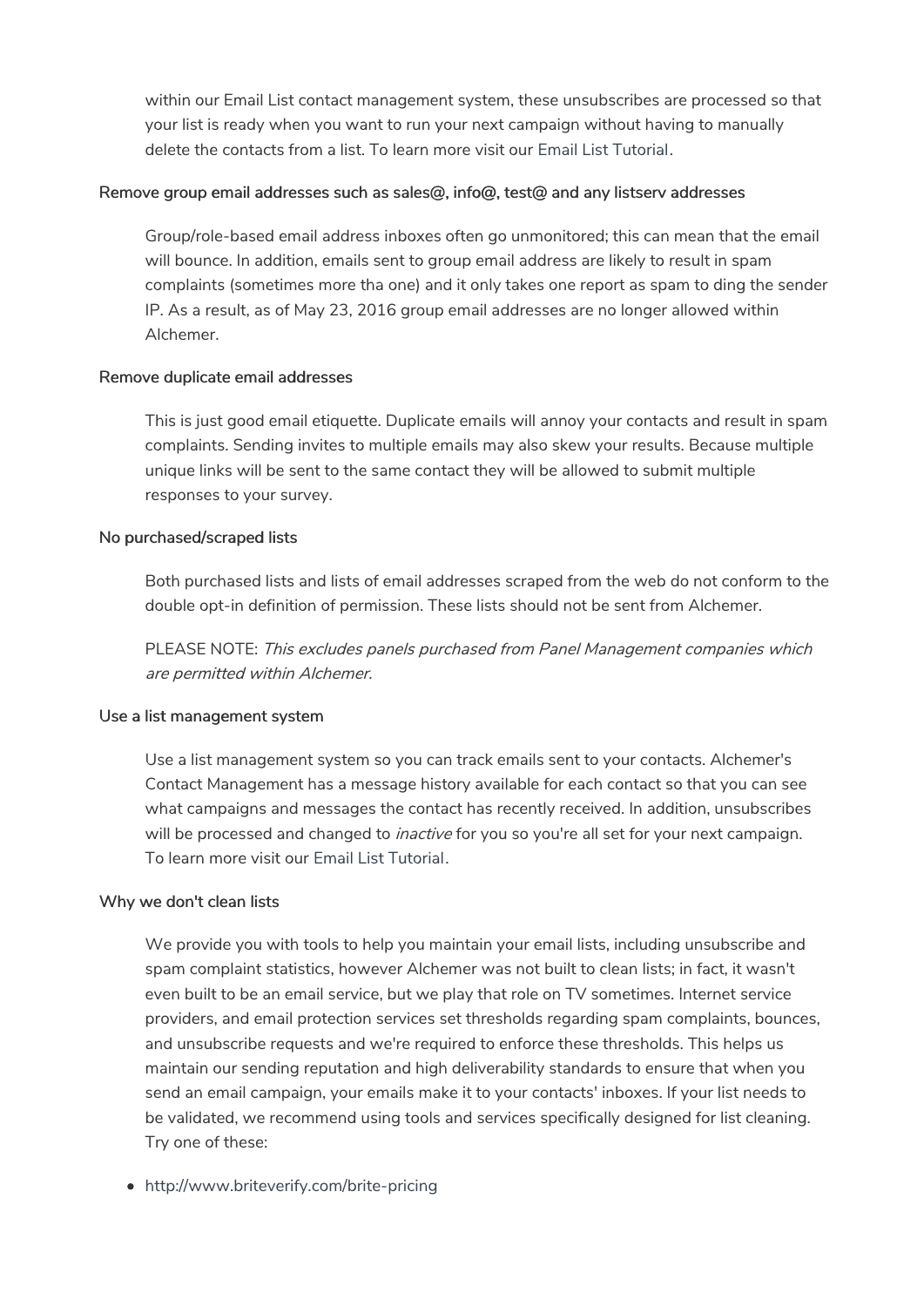within our Email List contact management system, these unsubscribes are processed so that your list is ready when you want to run your next campaign without having to manually delete the contacts from a list. To learn more visit our Email List Tutorial.

#### Remove group email addresses such as sales@, info@, test@ and any listserv addresses

Group/role-based email address inboxes often go unmonitored; this can mean that the email will bounce. In addition, emails sent to group email address are likely to result in spam complaints (sometimes more tha one) and it only takes one report as spam to ding the sender IP. As a result, as of May 23, 2016 group email addresses are no longer allowed within Alchemer.

#### Remove duplicate email addresses

This is just good email etiquette. Duplicate emails will annoy your contacts and result in spam complaints. Sending invites to multiple emails may also skew your results. Because multiple unique links will be sent to the same contact they will be allowed to submit multiple responses to your survey.

#### No purchased/scraped lists

Both purchased lists and lists of email addresses scraped from the web do not conform to the double opt-in definition of permission. These lists should not be sent from Alchemer.

PLEASE NOTE: This excludes panels purchased from Panel Management companies which are permitted within Alchemer.

#### Use a list management system

Use a list management system so you can track emails sent to your contacts. Alchemer's Contact Management has a message history available for each contact so that you can see what campaigns and messages the contact has recently received. In addition, unsubscribes will be processed and changed to *inactive* for you so you're all set for your next campaign. To learn more visit our Email List Tutorial.

#### Why we don't clean lists

We provide you with tools to help you maintain your email lists, including unsubscribe and spam complaint statistics, however Alchemer was not built to clean lists; in fact, it wasn't even built to be an email service, but we play that role on TV sometimes. Internet service providers, and email protection services set thresholds regarding spam complaints, bounces, and unsubscribe requests and we're required to enforce these thresholds. This helps us maintain our sending reputation and high deliverability standards to ensure that when you send an email campaign, your emails make it to your contacts' inboxes. If your list needs to be validated, we recommend using tools and services specifically designed for list cleaning. Try one of these:

http://www.briteverify.com/brite-pricing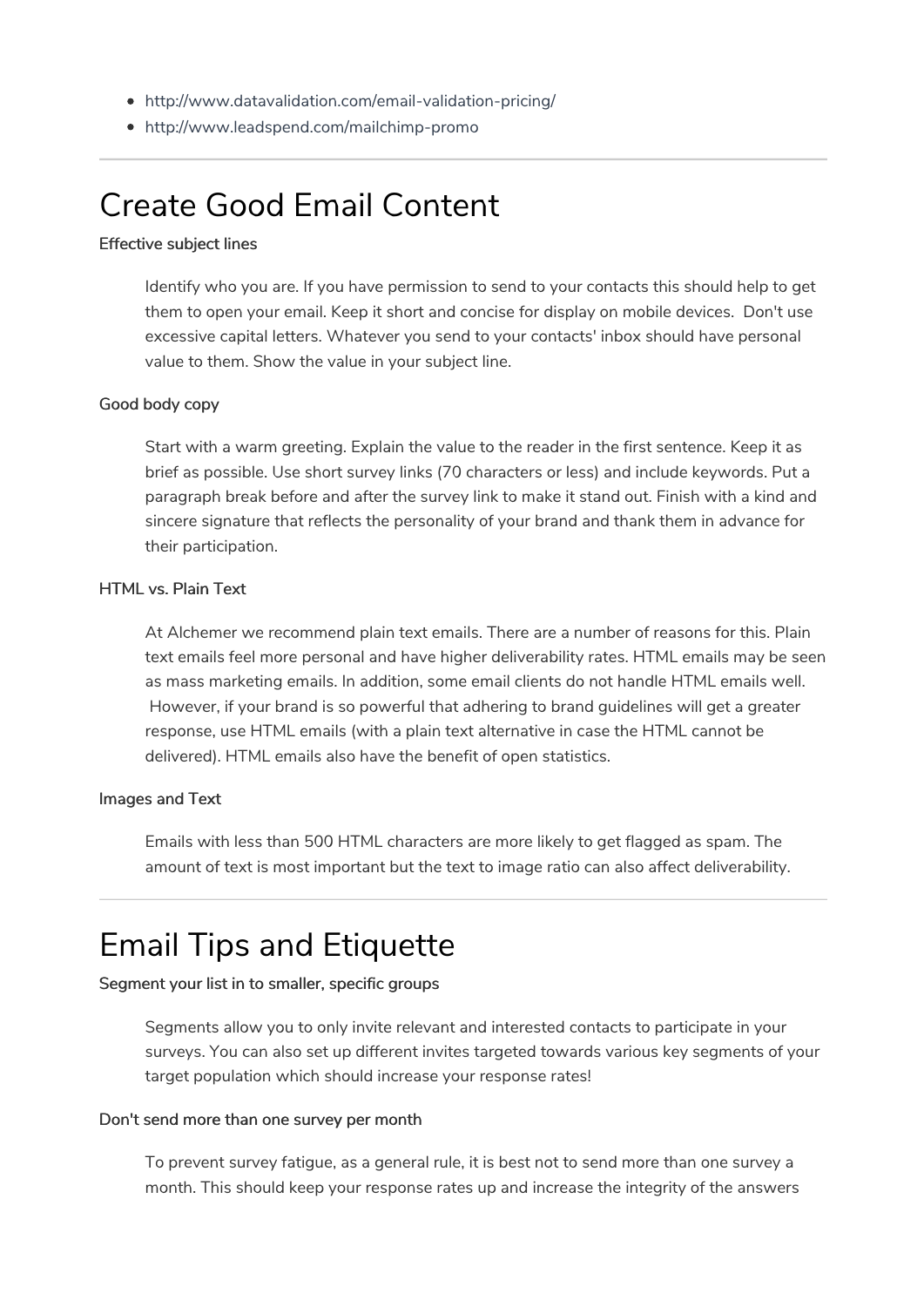- http://www.datavalidation.com/email-validation-pricing/
- http://www.leadspend.com/mailchimp-promo

# Create Good Email Content

#### Effective subject lines

Identify who you are. If you have permission to send to your contacts this should help to get them to open your email. Keep it short and concise for display on mobile devices. Don't use excessive capital letters. Whatever you send to your contacts' inbox should have personal value to them. Show the value in your subject line.

#### Good body copy

Start with a warm greeting. Explain the value to the reader in the first sentence. Keep it as brief as possible. Use short survey links (70 characters or less) and include keywords. Put a paragraph break before and after the survey link to make it stand out. Finish with a kind and sincere signature that reflects the personality of your brand and thank them in advance for their participation.

#### HTML vs. Plain Text

At Alchemer we recommend plain text emails. There are a number of reasons for this. Plain text emails feel more personal and have higher deliverability rates. HTML emails may be seen as mass marketing emails. In addition, some email clients do not handle HTML emails well. However, if your brand is so powerful that adhering to brand guidelines will get a greater response, use HTML emails (with a plain text alternative in case the HTML cannot be delivered). HTML emails also have the benefit of open statistics.

#### Images and Text

Emails with less than 500 HTML characters are more likely to get flagged as spam. The amount of text is most important but the text to image ratio can also affect deliverability.

# Email Tips and Etiquette

#### Segment your list in to smaller, specific groups

Segments allow you to only invite relevant and interested contacts to participate in your surveys. You can also set up different invites targeted towards various key segments of your target population which should increase your response rates!

#### Don't send more than one survey per month

To prevent survey fatigue, as a general rule, it is best not to send more than one survey a month. This should keep your response rates up and increase the integrity of the answers